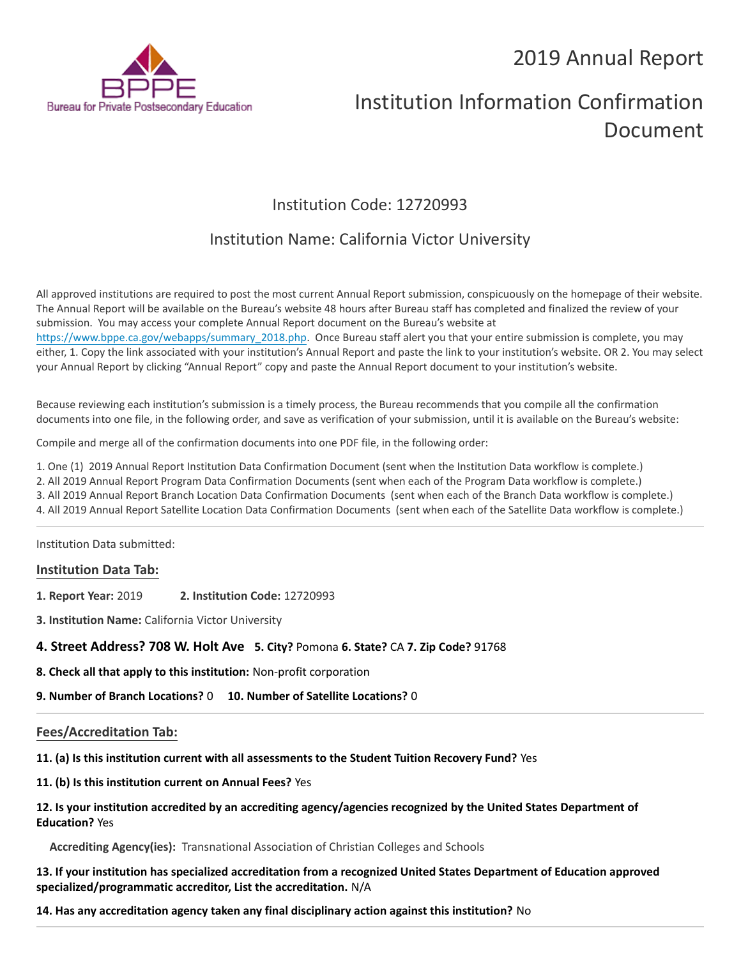# 2019 Annual Report



# Institution Information Confirmation Document

# Institution Code: 12720993

# Institution Name: California Victor University

All approved institutions are required to post the most current Annual Report submission, conspicuously on the homepage of their website. The Annual Report will be available on the Bureau's website 48 hours after Bureau staff has completed and finalized the review of your submission. You may access your complete Annual Report document on the Bureau's website at [https://www.bppe.ca.gov/webapps/summary\\_2018.php.](https://www.bppe.ca.gov/webapps/summary_2018.php) Once Bureau staff alert you that your entire submission is complete, you may either, 1. Copy the link associated with your institution's Annual Report and paste the link to your institution's website. OR 2. You may select your Annual Report by clicking "Annual Report" copy and paste the Annual Report document to your institution's website.

Because reviewing each institution's submission is a timely process, the Bureau recommends that you compile all the confirmation documents into one file, in the following order, and save as verification of your submission, until it is available on the Bureau's website:

Compile and merge all of the confirmation documents into one PDF file, in the following order:

1. One (1) 2019 Annual Report Institution Data Confirmation Document (sent when the Institution Data workflow is complete.)

2. All 2019 Annual Report Program Data Confirmation Documents (sent when each of the Program Data workflow is complete.)

3. All 2019 Annual Report Branch Location Data Confirmation Documents (sent when each of the Branch Data workflow is complete.)

4. All 2019 Annual Report Satellite Location Data Confirmation Documents (sent when each of the Satellite Data workflow is complete.)

Institution Data submitted:

# **Institution Data Tab:**

- **1. Report Year:** 2019 **2. Institution Code:** 12720993
- **3. Institution Name:** California Victor University

# **4. Street Address? 708 W. Holt Ave 5. City?** Pomona **6. State?** CA **7. Zip Code?** 91768

**8. Check all that apply to this institution:** Non-profit corporation

**9. Number of Branch Locations?** 0 **10. Number of Satellite Locations?** 0

# **Fees/Accreditation Tab:**

**11. (a) Is this institution current with all assessments to the Student Tuition Recovery Fund?** Yes

**11. (b) Is this institution current on Annual Fees?** Yes

# **12. Is your institution accredited by an accrediting agency/agencies recognized by the United States Department of Education?** Yes

**Accrediting Agency(ies):** Transnational Association of Christian Colleges and Schools

**13. If your institution has specialized accreditation from a recognized United States Department of Education approved specialized/programmatic accreditor, List the accreditation.** N/A

**14. Has any accreditation agency taken any final disciplinary action against this institution?** No